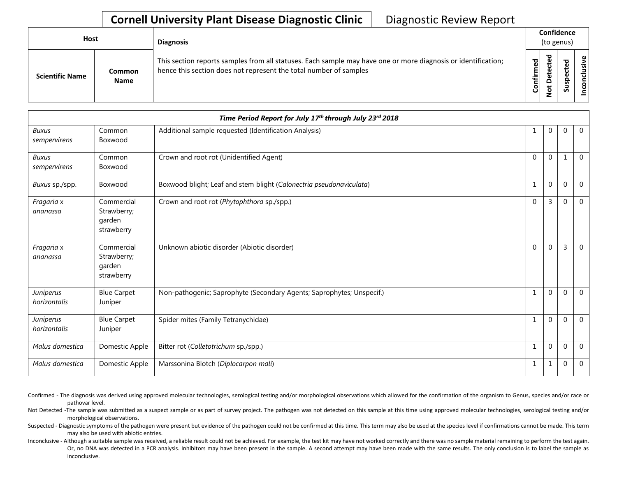## **Cornell University Plant Disease Diagnostic Clinic** | Diagnostic Review Report

| Host                   |                              | <b>Diagnosis</b>                                                                                                                                                                   |           | Confidence<br>(to genus)           |             |       |
|------------------------|------------------------------|------------------------------------------------------------------------------------------------------------------------------------------------------------------------------------|-----------|------------------------------------|-------------|-------|
| <b>Scientific Name</b> | <b>Common</b><br><b>Name</b> | This section reports samples from all statuses. Each sample may have one or more diagnosis or identification;<br>hence this section does not represent the total number of samples | Confirmed | ъ<br>ں<br>$\Omega$<br>پ<br>$\circ$ | ਠ<br>S<br>n | ∟ ہے. |

|                              |                                                   | Time Period Report for July 17th through July 23rd 2018               |              |              |              |                |
|------------------------------|---------------------------------------------------|-----------------------------------------------------------------------|--------------|--------------|--------------|----------------|
| <b>Buxus</b><br>sempervirens | Common<br>Boxwood                                 | Additional sample requested (Identification Analysis)                 | 1            | $\Omega$     | $\Omega$     | $\overline{0}$ |
| <b>Buxus</b><br>sempervirens | Common<br>Boxwood                                 | Crown and root rot (Unidentified Agent)                               | $\Omega$     | $\Omega$     |              | $\Omega$       |
| Buxus sp./spp.               | Boxwood                                           | Boxwood blight; Leaf and stem blight (Calonectria pseudonaviculata)   | 1            | $\mathbf{0}$ | $\mathbf{0}$ | $\overline{0}$ |
| Fragaria x<br>ananassa       | Commercial<br>Strawberry;<br>garden<br>strawberry | Crown and root rot (Phytophthora sp./spp.)                            | $\Omega$     | 3            | $\Omega$     | $\overline{0}$ |
| Fragaria x<br>ananassa       | Commercial<br>Strawberry;<br>garden<br>strawberry | Unknown abiotic disorder (Abiotic disorder)                           | $\Omega$     | $\Omega$     | 3            | $\overline{0}$ |
| Juniperus<br>horizontalis    | <b>Blue Carpet</b><br>Juniper                     | Non-pathogenic; Saprophyte (Secondary Agents; Saprophytes; Unspecif.) | 1            | 0            | $\Omega$     | $\mathbf 0$    |
| Juniperus<br>horizontalis    | <b>Blue Carpet</b><br>Juniper                     | Spider mites (Family Tetranychidae)                                   | 1            | $\Omega$     | $\Omega$     | $\overline{0}$ |
| Malus domestica              | Domestic Apple                                    | Bitter rot (Colletotrichum sp./spp.)                                  | $\mathbf{1}$ | $\Omega$     | $\mathbf{0}$ | $\overline{0}$ |
| Malus domestica              | Domestic Apple                                    | Marssonina Blotch (Diplocarpon mali)                                  | $\mathbf{1}$ |              | $\Omega$     | $\overline{0}$ |

Confirmed - The diagnosis was derived using approved molecular technologies, serological testing and/or morphological observations which allowed for the confirmation of the organism to Genus, species and/or race or pathovar level.

Not Detected -The sample was submitted as a suspect sample or as part of survey project. The pathogen was not detected on this sample at this time using approved molecular technologies, serological testing and/or morphological observations.

Suspected - Diagnostic symptoms of the pathogen were present but evidence of the pathogen could not be confirmed at this time. This term may also be used at the species level if confirmations cannot be made. This term may also be used with abiotic entries.

Inconclusive - Although a suitable sample was received, a reliable result could not be achieved. For example, the test kit may have not worked correctly and there was no sample material remaining to perform the test again. Or, no DNA was detected in a PCR analysis. Inhibitors may have been present in the sample. A second attempt may have been made with the same results. The only conclusion is to label the sample as inconclusive.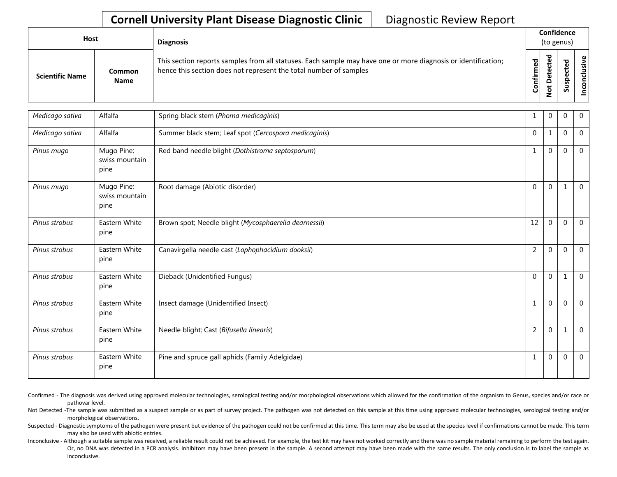## **Cornell University Plant Disease Diagnostic Clinic** | Diagnostic Review Report

| <b>Host</b>            |                       | <b>Diagnosis</b>                                                                                                                                                                   |                    | Confidence<br>(to genus) |                                      |            |
|------------------------|-----------------------|------------------------------------------------------------------------------------------------------------------------------------------------------------------------------------|--------------------|--------------------------|--------------------------------------|------------|
| <b>Scientific Name</b> | Common<br><b>Name</b> | This section reports samples from all statuses. Each sample may have one or more diagnosis or identification;<br>hence this section does not represent the total number of samples | ිත<br>ම<br>Confirm | ᇃ<br>$\Omega$<br>سه      | ъ<br>Φ<br>∸<br>ω<br>௨<br>S<br>Б<br>n | usive<br>۰ |

| Medicago sativa | Alfalfa                              | Spring black stem (Phoma medicaginis)                 | 1              | $\Omega$     | $\Omega$     | $\overline{0}$ |
|-----------------|--------------------------------------|-------------------------------------------------------|----------------|--------------|--------------|----------------|
| Medicago sativa | Alfalfa                              | Summer black stem; Leaf spot (Cercospora medicaginis) | $\Omega$       |              | $\Omega$     | $\mathbf 0$    |
| Pinus mugo      | Mugo Pine;<br>swiss mountain<br>pine | Red band needle blight (Dothistroma septosporum)      | $\mathbf{1}$   | $\Omega$     | $\Omega$     | $\mathbf 0$    |
| Pinus mugo      | Mugo Pine;<br>swiss mountain<br>pine | Root damage (Abiotic disorder)                        | $\mathbf{0}$   | $\mathbf{0}$ | $\mathbf{1}$ | $\overline{0}$ |
| Pinus strobus   | Eastern White<br>pine                | Brown spot; Needle blight (Mycosphaerella dearnessii) | 12             | $\mathbf{0}$ | $\mathbf 0$  | $\mathbf 0$    |
| Pinus strobus   | Eastern White<br>pine                | Canavirgella needle cast (Lophophacidium dooksii)     | $\overline{2}$ | $\Omega$     | $\Omega$     | $\mathbf 0$    |
| Pinus strobus   | Eastern White<br>pine                | Dieback (Unidentified Fungus)                         | $\Omega$       | $\Omega$     | $\mathbf{1}$ | $\mathbf{0}$   |
| Pinus strobus   | Eastern White<br>pine                | Insect damage (Unidentified Insect)                   | $\mathbf{1}$   | $\Omega$     | $\Omega$     | $\mathbf{0}$   |
| Pinus strobus   | Eastern White<br>pine                | Needle blight; Cast (Bifusella linearis)              | $\overline{2}$ | $\mathbf 0$  | 1            | $\mathbf 0$    |
| Pinus strobus   | Eastern White<br>pine                | Pine and spruce gall aphids (Family Adelgidae)        | $\mathbf{1}$   | $\Omega$     | $\Omega$     | $\mathbf 0$    |

Confirmed - The diagnosis was derived using approved molecular technologies, serological testing and/or morphological observations which allowed for the confirmation of the organism to Genus, species and/or race or pathovar level.

Not Detected -The sample was submitted as a suspect sample or as part of survey project. The pathogen was not detected on this sample at this time using approved molecular technologies, serological testing and/or morphological observations.

Suspected - Diagnostic symptoms of the pathogen were present but evidence of the pathogen could not be confirmed at this time. This term may also be used at the species level if confirmations cannot be made. This term may also be used with abiotic entries.

Inconclusive - Although a suitable sample was received, a reliable result could not be achieved. For example, the test kit may have not worked correctly and there was no sample material remaining to perform the test again. Or, no DNA was detected in a PCR analysis. Inhibitors may have been present in the sample. A second attempt may have been made with the same results. The only conclusion is to label the sample as inconclusive.